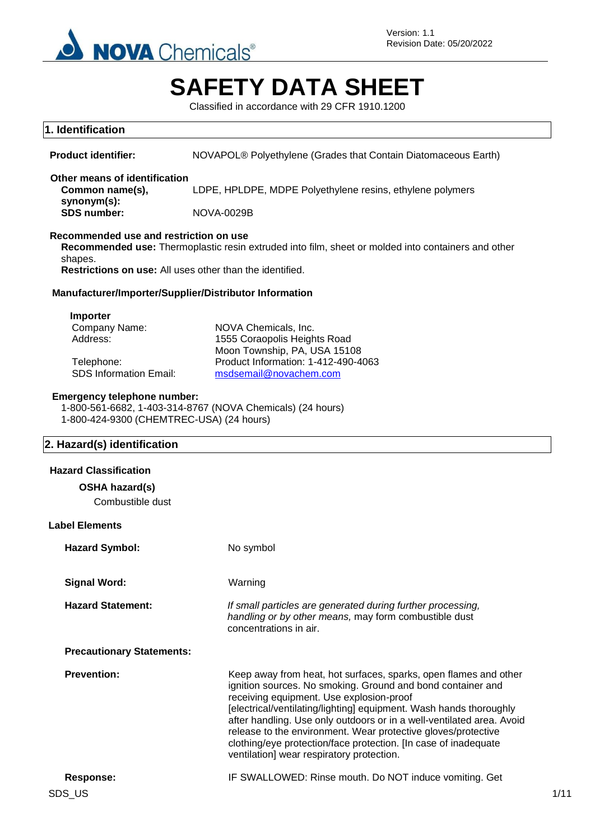

# **SAFETY DATA SHEET**

Classified in accordance with 29 CFR 1910.1200

| 1. Identification                                                                                             |                                                                                                                                                                                                                                                                                                                                                                                                                                                                                                             |
|---------------------------------------------------------------------------------------------------------------|-------------------------------------------------------------------------------------------------------------------------------------------------------------------------------------------------------------------------------------------------------------------------------------------------------------------------------------------------------------------------------------------------------------------------------------------------------------------------------------------------------------|
| <b>Product identifier:</b>                                                                                    | NOVAPOL® Polyethylene (Grades that Contain Diatomaceous Earth)                                                                                                                                                                                                                                                                                                                                                                                                                                              |
| Other means of identification<br>Common name(s),                                                              | LDPE, HPLDPE, MDPE Polyethylene resins, ethylene polymers                                                                                                                                                                                                                                                                                                                                                                                                                                                   |
| synonym(s):<br><b>SDS number:</b>                                                                             | <b>NOVA-0029B</b>                                                                                                                                                                                                                                                                                                                                                                                                                                                                                           |
| Recommended use and restriction on use<br>shapes.<br>Restrictions on use: All uses other than the identified. | Recommended use: Thermoplastic resin extruded into film, sheet or molded into containers and other                                                                                                                                                                                                                                                                                                                                                                                                          |
| Manufacturer/Importer/Supplier/Distributor Information                                                        |                                                                                                                                                                                                                                                                                                                                                                                                                                                                                                             |
| Importer<br>Company Name:<br>Address:<br>Telephone:<br><b>SDS Information Email:</b>                          | NOVA Chemicals, Inc.<br>1555 Coraopolis Heights Road<br>Moon Township, PA, USA 15108<br>Product Information: 1-412-490-4063<br>msdsemail@novachem.com                                                                                                                                                                                                                                                                                                                                                       |
| <b>Emergency telephone number:</b><br>1-800-424-9300 (CHEMTREC-USA) (24 hours)                                | 1-800-561-6682, 1-403-314-8767 (NOVA Chemicals) (24 hours)                                                                                                                                                                                                                                                                                                                                                                                                                                                  |
| 2. Hazard(s) identification                                                                                   |                                                                                                                                                                                                                                                                                                                                                                                                                                                                                                             |
| <b>Hazard Classification</b>                                                                                  |                                                                                                                                                                                                                                                                                                                                                                                                                                                                                                             |
| OSHA hazard(s)<br>Combustible dust                                                                            |                                                                                                                                                                                                                                                                                                                                                                                                                                                                                                             |
| <b>Label Elements</b>                                                                                         |                                                                                                                                                                                                                                                                                                                                                                                                                                                                                                             |
| <b>Hazard Symbol:</b>                                                                                         | No symbol                                                                                                                                                                                                                                                                                                                                                                                                                                                                                                   |
| <b>Signal Word:</b>                                                                                           | Warning                                                                                                                                                                                                                                                                                                                                                                                                                                                                                                     |
| <b>Hazard Statement:</b>                                                                                      | If small particles are generated during further processing,<br>handling or by other means, may form combustible dust<br>concentrations in air.                                                                                                                                                                                                                                                                                                                                                              |
| <b>Precautionary Statements:</b>                                                                              |                                                                                                                                                                                                                                                                                                                                                                                                                                                                                                             |
| <b>Prevention:</b>                                                                                            | Keep away from heat, hot surfaces, sparks, open flames and other<br>ignition sources. No smoking. Ground and bond container and<br>receiving equipment. Use explosion-proof<br>[electrical/ventilating/lighting] equipment. Wash hands thoroughly<br>after handling. Use only outdoors or in a well-ventilated area. Avoid<br>release to the environment. Wear protective gloves/protective<br>clothing/eye protection/face protection. [In case of inadequate<br>ventilation] wear respiratory protection. |
| <b>Response:</b>                                                                                              | IF SWALLOWED: Rinse mouth. Do NOT induce vomiting. Get                                                                                                                                                                                                                                                                                                                                                                                                                                                      |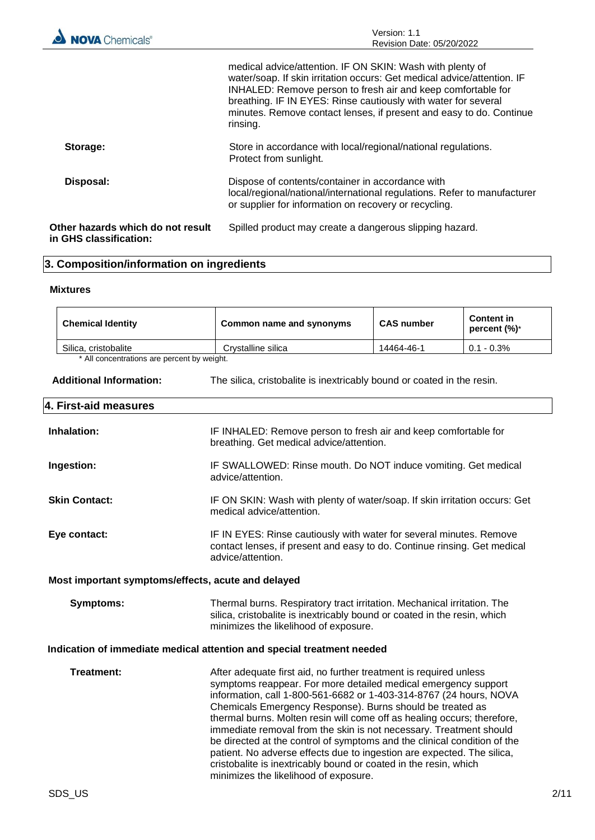|                                                             | medical advice/attention. IF ON SKIN: Wash with plenty of<br>water/soap. If skin irritation occurs: Get medical advice/attention. IF<br>INHALED: Remove person to fresh air and keep comfortable for<br>breathing. IF IN EYES: Rinse cautiously with water for several<br>minutes. Remove contact lenses, if present and easy to do. Continue<br>rinsing. |
|-------------------------------------------------------------|-----------------------------------------------------------------------------------------------------------------------------------------------------------------------------------------------------------------------------------------------------------------------------------------------------------------------------------------------------------|
| Storage:                                                    | Store in accordance with local/regional/national regulations.<br>Protect from sunlight.                                                                                                                                                                                                                                                                   |
| Disposal:                                                   | Dispose of contents/container in accordance with<br>local/regional/national/international regulations. Refer to manufacturer<br>or supplier for information on recovery or recycling.                                                                                                                                                                     |
| Other hazards which do not result<br>in GHS classification: | Spilled product may create a dangerous slipping hazard.                                                                                                                                                                                                                                                                                                   |

# **3. Composition/information on ingredients**

#### **Mixtures**

| <b>Chemical Identity</b>                   | Common name and synonyms | <b>CAS number</b> | <b>Content</b> in<br>percent $(\%)^*$ |
|--------------------------------------------|--------------------------|-------------------|---------------------------------------|
| Silica, cristobalite                       | Crystalline silica       | 14464-46-1        | $0.1 - 0.3\%$                         |
| * All concentrations are nercent by weight |                          |                   |                                       |

ncentrations are percent by weight.

| Additional Information: |  | The silica, cristobalite is inextricably bound or coated in the resin. |  |  |  |  |  |
|-------------------------|--|------------------------------------------------------------------------|--|--|--|--|--|
|-------------------------|--|------------------------------------------------------------------------|--|--|--|--|--|

## **4. First-aid measures**

| Inhalation:                                        | IF INHALED: Remove person to fresh air and keep comfortable for<br>breathing. Get medical advice/attention.                                                                                                                                                                                                                                                                                                                                                                                                                                                                                                                                                                                |  |
|----------------------------------------------------|--------------------------------------------------------------------------------------------------------------------------------------------------------------------------------------------------------------------------------------------------------------------------------------------------------------------------------------------------------------------------------------------------------------------------------------------------------------------------------------------------------------------------------------------------------------------------------------------------------------------------------------------------------------------------------------------|--|
| Ingestion:                                         | IF SWALLOWED: Rinse mouth. Do NOT induce vomiting. Get medical<br>advice/attention.                                                                                                                                                                                                                                                                                                                                                                                                                                                                                                                                                                                                        |  |
| <b>Skin Contact:</b>                               | IF ON SKIN: Wash with plenty of water/soap. If skin irritation occurs: Get<br>medical advice/attention.                                                                                                                                                                                                                                                                                                                                                                                                                                                                                                                                                                                    |  |
| Eye contact:                                       | IF IN EYES: Rinse cautiously with water for several minutes. Remove<br>contact lenses, if present and easy to do. Continue rinsing. Get medical<br>advice/attention.                                                                                                                                                                                                                                                                                                                                                                                                                                                                                                                       |  |
| Most important symptoms/effects, acute and delayed |                                                                                                                                                                                                                                                                                                                                                                                                                                                                                                                                                                                                                                                                                            |  |
| <b>Symptoms:</b>                                   | Thermal burns. Respiratory tract irritation. Mechanical irritation. The<br>silica, cristobalite is inextricably bound or coated in the resin, which<br>minimizes the likelihood of exposure.                                                                                                                                                                                                                                                                                                                                                                                                                                                                                               |  |
|                                                    | Indication of immediate medical attention and special treatment needed                                                                                                                                                                                                                                                                                                                                                                                                                                                                                                                                                                                                                     |  |
| Treatment:                                         | After adequate first aid, no further treatment is required unless<br>symptoms reappear. For more detailed medical emergency support<br>information, call 1-800-561-6682 or 1-403-314-8767 (24 hours, NOVA<br>Chemicals Emergency Response). Burns should be treated as<br>thermal burns. Molten resin will come off as healing occurs; therefore,<br>immediate removal from the skin is not necessary. Treatment should<br>be directed at the control of symptoms and the clinical condition of the<br>patient. No adverse effects due to ingestion are expected. The silica,<br>cristobalite is inextricably bound or coated in the resin, which<br>minimizes the likelihood of exposure. |  |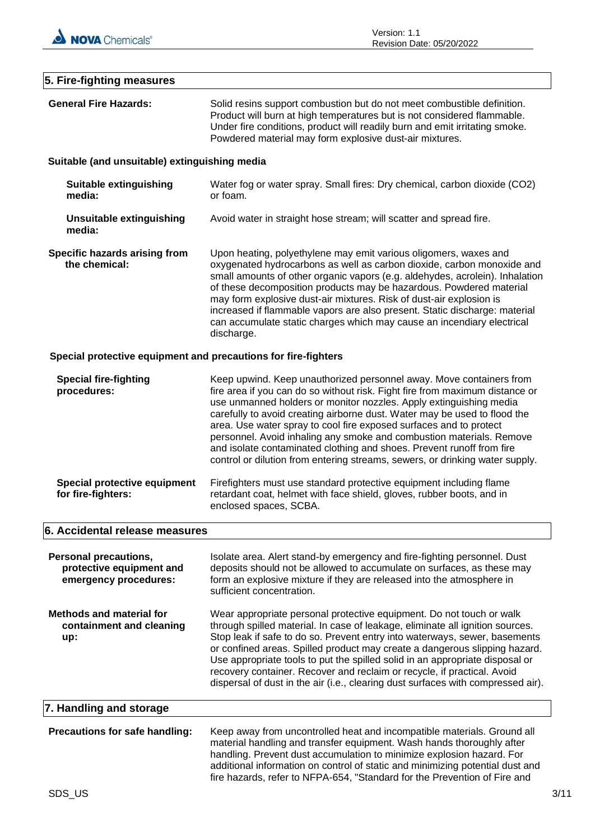

## **5. Fire-fighting measures**

| <b>General Fire Hazards:</b>                                                      | Solid resins support combustion but do not meet combustible definition.<br>Product will burn at high temperatures but is not considered flammable.<br>Under fire conditions, product will readily burn and emit irritating smoke.<br>Powdered material may form explosive dust-air mixtures.                                                                                                                                                                                                                                                                                                                  |
|-----------------------------------------------------------------------------------|---------------------------------------------------------------------------------------------------------------------------------------------------------------------------------------------------------------------------------------------------------------------------------------------------------------------------------------------------------------------------------------------------------------------------------------------------------------------------------------------------------------------------------------------------------------------------------------------------------------|
| Suitable (and unsuitable) extinguishing media                                     |                                                                                                                                                                                                                                                                                                                                                                                                                                                                                                                                                                                                               |
| Suitable extinguishing<br>media:                                                  | Water fog or water spray. Small fires: Dry chemical, carbon dioxide (CO2)<br>or foam.                                                                                                                                                                                                                                                                                                                                                                                                                                                                                                                         |
| <b>Unsuitable extinguishing</b><br>media:                                         | Avoid water in straight hose stream; will scatter and spread fire.                                                                                                                                                                                                                                                                                                                                                                                                                                                                                                                                            |
| Specific hazards arising from<br>the chemical:                                    | Upon heating, polyethylene may emit various oligomers, waxes and<br>oxygenated hydrocarbons as well as carbon dioxide, carbon monoxide and<br>small amounts of other organic vapors (e.g. aldehydes, acrolein). Inhalation<br>of these decomposition products may be hazardous. Powdered material<br>may form explosive dust-air mixtures. Risk of dust-air explosion is<br>increased if flammable vapors are also present. Static discharge: material<br>can accumulate static charges which may cause an incendiary electrical<br>discharge.                                                                |
| Special protective equipment and precautions for fire-fighters                    |                                                                                                                                                                                                                                                                                                                                                                                                                                                                                                                                                                                                               |
| <b>Special fire-fighting</b><br>procedures:                                       | Keep upwind. Keep unauthorized personnel away. Move containers from<br>fire area if you can do so without risk. Fight fire from maximum distance or<br>use unmanned holders or monitor nozzles. Apply extinguishing media<br>carefully to avoid creating airborne dust. Water may be used to flood the<br>area. Use water spray to cool fire exposed surfaces and to protect<br>personnel. Avoid inhaling any smoke and combustion materials. Remove<br>and isolate contaminated clothing and shoes. Prevent runoff from fire<br>control or dilution from entering streams, sewers, or drinking water supply. |
| Special protective equipment<br>for fire-fighters:                                | Firefighters must use standard protective equipment including flame<br>retardant coat, helmet with face shield, gloves, rubber boots, and in<br>enclosed spaces, SCBA.                                                                                                                                                                                                                                                                                                                                                                                                                                        |
| 6. Accidental release measures                                                    |                                                                                                                                                                                                                                                                                                                                                                                                                                                                                                                                                                                                               |
| <b>Personal precautions,</b><br>protective equipment and<br>emergency procedures: | Isolate area. Alert stand-by emergency and fire-fighting personnel. Dust<br>deposits should not be allowed to accumulate on surfaces, as these may<br>form an explosive mixture if they are released into the atmosphere in<br>sufficient concentration.                                                                                                                                                                                                                                                                                                                                                      |
| <b>Methods and material for</b><br>containment and cleaning<br>up:                | Wear appropriate personal protective equipment. Do not touch or walk<br>through spilled material. In case of leakage, eliminate all ignition sources.<br>Stop leak if safe to do so. Prevent entry into waterways, sewer, basements<br>or confined areas. Spilled product may create a dangerous slipping hazard.<br>Use appropriate tools to put the spilled solid in an appropriate disposal or<br>recovery container. Recover and reclaim or recycle, if practical. Avoid<br>dispersal of dust in the air (i.e., clearing dust surfaces with compressed air).                                              |
| 7. Handling and storage                                                           |                                                                                                                                                                                                                                                                                                                                                                                                                                                                                                                                                                                                               |
| Precautions for safe handling:                                                    | Keep away from uncontrolled heat and incompatible materials. Ground all<br>material handling and transfer equipment. Wash hands thoroughly after<br>handling. Prevent dust accumulation to minimize explosion hazard. For<br>additional information on control of static and minimizing potential dust and<br>fire hazards, refer to NFPA-654, "Standard for the Prevention of Fire and                                                                                                                                                                                                                       |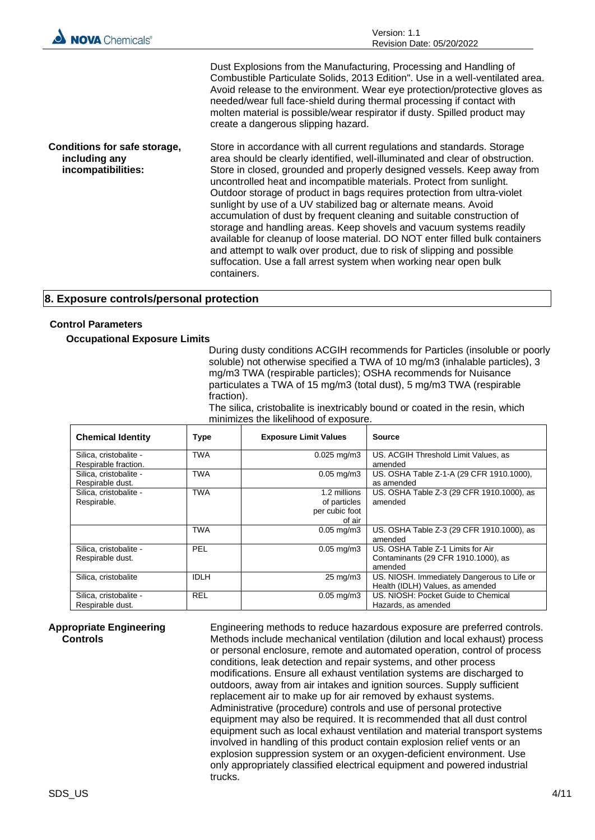| <b>NOVA</b> Chemicals®                                              | Version: 1.1<br>Revision Date: 05/20/2022                                                                                                                                                                                                                                                                                                                                                                                                                                                                                                                                                                                                                                                                                                                                                                                                                  |
|---------------------------------------------------------------------|------------------------------------------------------------------------------------------------------------------------------------------------------------------------------------------------------------------------------------------------------------------------------------------------------------------------------------------------------------------------------------------------------------------------------------------------------------------------------------------------------------------------------------------------------------------------------------------------------------------------------------------------------------------------------------------------------------------------------------------------------------------------------------------------------------------------------------------------------------|
|                                                                     | Dust Explosions from the Manufacturing, Processing and Handling of<br>Combustible Particulate Solids, 2013 Edition". Use in a well-ventilated area.<br>Avoid release to the environment. Wear eye protection/protective gloves as<br>needed/wear full face-shield during thermal processing if contact with<br>molten material is possible/wear respirator if dusty. Spilled product may<br>create a dangerous slipping hazard.                                                                                                                                                                                                                                                                                                                                                                                                                            |
| Conditions for safe storage,<br>including any<br>incompatibilities: | Store in accordance with all current regulations and standards. Storage<br>area should be clearly identified, well-illuminated and clear of obstruction.<br>Store in closed, grounded and properly designed vessels. Keep away from<br>uncontrolled heat and incompatible materials. Protect from sunlight.<br>Outdoor storage of product in bags requires protection from ultra-violet<br>sunlight by use of a UV stabilized bag or alternate means. Avoid<br>accumulation of dust by frequent cleaning and suitable construction of<br>storage and handling areas. Keep shovels and vacuum systems readily<br>available for cleanup of loose material. DO NOT enter filled bulk containers<br>and attempt to walk over product, due to risk of slipping and possible<br>suffocation. Use a fall arrest system when working near open bulk<br>containers. |

#### **8. Exposure controls/personal protection**

#### **Control Parameters**

**Occupational Exposure Limits**

During dusty conditions ACGIH recommends for Particles (insoluble or poorly soluble) not otherwise specified a TWA of 10 mg/m3 (inhalable particles), 3 mg/m3 TWA (respirable particles); OSHA recommends for Nuisance particulates a TWA of 15 mg/m3 (total dust), 5 mg/m3 TWA (respirable fraction).

The silica, cristobalite is inextricably bound or coated in the resin, which minimizes the likelihood of exposure.

| <b>Chemical Identity</b>                       | Type        | <b>Exposure Limit Values</b>                             | <b>Source</b>                                                                       |
|------------------------------------------------|-------------|----------------------------------------------------------|-------------------------------------------------------------------------------------|
| Silica, cristobalite -<br>Respirable fraction. | TWA         | $0.025$ mg/m3                                            | US. ACGIH Threshold Limit Values, as<br>amended                                     |
| Silica, cristobalite -<br>Respirable dust.     | <b>TWA</b>  | $0.05 \,\mathrm{mg/m3}$                                  | US. OSHA Table Z-1-A (29 CFR 1910.1000),<br>as amended                              |
| Silica, cristobalite -<br>Respirable.          | TWA         | 1.2 millions<br>of particles<br>per cubic foot<br>of air | US. OSHA Table Z-3 (29 CFR 1910.1000), as<br>amended                                |
|                                                | TWA         | $0.05$ mg/m $3$                                          | US. OSHA Table Z-3 (29 CFR 1910.1000), as<br>amended                                |
| Silica, cristobalite -<br>Respirable dust.     | PEL         | $0.05 \,\mathrm{mq/m3}$                                  | US, OSHA Table Z-1 Limits for Air<br>Contaminants (29 CFR 1910.1000), as<br>amended |
| Silica, cristobalite                           | <b>IDLH</b> | $25 \text{ mg/m}$                                        | US. NIOSH. Immediately Dangerous to Life or<br>Health (IDLH) Values, as amended     |
| Silica, cristobalite -<br>Respirable dust.     | <b>REL</b>  | $0.05$ mg/m $3$                                          | US. NIOSH: Pocket Guide to Chemical<br>Hazards, as amended                          |

#### **Appropriate Engineering Controls**

Engineering methods to reduce hazardous exposure are preferred controls. Methods include mechanical ventilation (dilution and local exhaust) process or personal enclosure, remote and automated operation, control of process conditions, leak detection and repair systems, and other process modifications. Ensure all exhaust ventilation systems are discharged to outdoors, away from air intakes and ignition sources. Supply sufficient replacement air to make up for air removed by exhaust systems. Administrative (procedure) controls and use of personal protective equipment may also be required. It is recommended that all dust control equipment such as local exhaust ventilation and material transport systems involved in handling of this product contain explosion relief vents or an explosion suppression system or an oxygen-deficient environment. Use only appropriately classified electrical equipment and powered industrial trucks.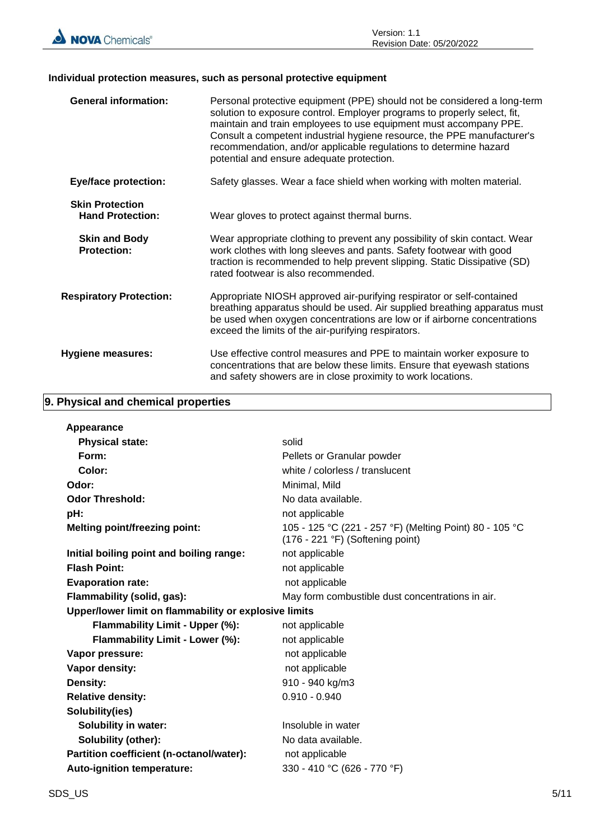

## **Individual protection measures, such as personal protective equipment**

| <b>General information:</b>                       | Personal protective equipment (PPE) should not be considered a long-term<br>solution to exposure control. Employer programs to properly select, fit,<br>maintain and train employees to use equipment must accompany PPE.<br>Consult a competent industrial hygiene resource, the PPE manufacturer's<br>recommendation, and/or applicable regulations to determine hazard<br>potential and ensure adequate protection. |
|---------------------------------------------------|------------------------------------------------------------------------------------------------------------------------------------------------------------------------------------------------------------------------------------------------------------------------------------------------------------------------------------------------------------------------------------------------------------------------|
| <b>Eye/face protection:</b>                       | Safety glasses. Wear a face shield when working with molten material.                                                                                                                                                                                                                                                                                                                                                  |
| <b>Skin Protection</b><br><b>Hand Protection:</b> | Wear gloves to protect against thermal burns.                                                                                                                                                                                                                                                                                                                                                                          |
| <b>Skin and Body</b><br><b>Protection:</b>        | Wear appropriate clothing to prevent any possibility of skin contact. Wear<br>work clothes with long sleeves and pants. Safety footwear with good<br>traction is recommended to help prevent slipping. Static Dissipative (SD)<br>rated footwear is also recommended.                                                                                                                                                  |
| <b>Respiratory Protection:</b>                    | Appropriate NIOSH approved air-purifying respirator or self-contained<br>breathing apparatus should be used. Air supplied breathing apparatus must<br>be used when oxygen concentrations are low or if airborne concentrations<br>exceed the limits of the air-purifying respirators.                                                                                                                                  |
| <b>Hygiene measures:</b>                          | Use effective control measures and PPE to maintain worker exposure to<br>concentrations that are below these limits. Ensure that eyewash stations<br>and safety showers are in close proximity to work locations.                                                                                                                                                                                                      |

## **9. Physical and chemical properties**

| Appearance                                                 |                                                                                             |
|------------------------------------------------------------|---------------------------------------------------------------------------------------------|
| <b>Physical state:</b><br>solid                            |                                                                                             |
| Form:                                                      | Pellets or Granular powder                                                                  |
| Color:                                                     | white / colorless / translucent                                                             |
| Odor:<br>Minimal, Mild                                     |                                                                                             |
| <b>Odor Threshold:</b><br>No data available.               |                                                                                             |
| pH:<br>not applicable                                      |                                                                                             |
| <b>Melting point/freezing point:</b>                       | 105 - 125 °C (221 - 257 °F) (Melting Point) 80 - 105 °C<br>(176 - 221 °F) (Softening point) |
| Initial boiling point and boiling range:<br>not applicable |                                                                                             |
| <b>Flash Point:</b><br>not applicable                      |                                                                                             |
| <b>Evaporation rate:</b><br>not applicable                 |                                                                                             |
| Flammability (solid, gas):                                 | May form combustible dust concentrations in air.                                            |
| Upper/lower limit on flammability or explosive limits      |                                                                                             |
| Flammability Limit - Upper (%):<br>not applicable          |                                                                                             |
| Flammability Limit - Lower (%):<br>not applicable          |                                                                                             |
| Vapor pressure:<br>not applicable                          |                                                                                             |
| Vapor density:<br>not applicable                           |                                                                                             |
| 910 - 940 kg/m3<br>Density:                                |                                                                                             |
| $0.910 - 0.940$<br><b>Relative density:</b>                |                                                                                             |
| Solubility(ies)                                            |                                                                                             |
| <b>Solubility in water:</b><br>Insoluble in water          |                                                                                             |
| Solubility (other):<br>No data available.                  |                                                                                             |
|                                                            |                                                                                             |
| Partition coefficient (n-octanol/water):<br>not applicable |                                                                                             |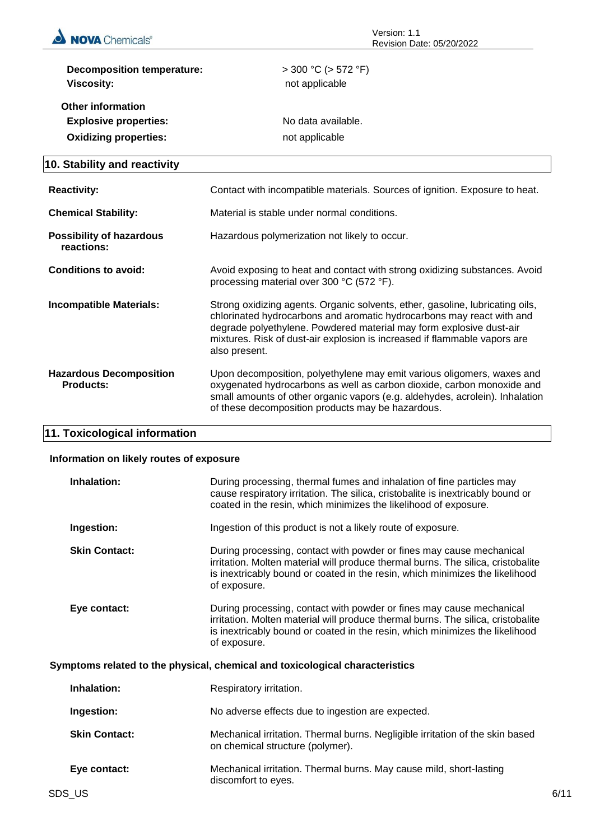

| <b>Decomposition temperature:</b><br><b>Viscosity:</b>                                   | $>$ 300 °C ( $>$ 572 °F)<br>not applicable |  |
|------------------------------------------------------------------------------------------|--------------------------------------------|--|
| <b>Other information</b><br><b>Explosive properties:</b><br><b>Oxidizing properties:</b> | No data available.<br>not applicable       |  |

# **10. Stability and reactivity**

| <b>Reactivity:</b>                                 | Contact with incompatible materials. Sources of ignition. Exposure to heat.                                                                                                                                                                                                                                                 |
|----------------------------------------------------|-----------------------------------------------------------------------------------------------------------------------------------------------------------------------------------------------------------------------------------------------------------------------------------------------------------------------------|
| <b>Chemical Stability:</b>                         | Material is stable under normal conditions.                                                                                                                                                                                                                                                                                 |
| <b>Possibility of hazardous</b><br>reactions:      | Hazardous polymerization not likely to occur.                                                                                                                                                                                                                                                                               |
| Conditions to avoid:                               | Avoid exposing to heat and contact with strong oxidizing substances. Avoid<br>processing material over 300 °C (572 °F).                                                                                                                                                                                                     |
| Incompatible Materials:                            | Strong oxidizing agents. Organic solvents, ether, gasoline, lubricating oils,<br>chlorinated hydrocarbons and aromatic hydrocarbons may react with and<br>degrade polyethylene. Powdered material may form explosive dust-air<br>mixtures. Risk of dust-air explosion is increased if flammable vapors are<br>also present. |
| <b>Hazardous Decomposition</b><br><b>Products:</b> | Upon decomposition, polyethylene may emit various oligomers, waxes and<br>oxygenated hydrocarbons as well as carbon dioxide, carbon monoxide and<br>small amounts of other organic vapors (e.g. aldehydes, acrolein). Inhalation<br>of these decomposition products may be hazardous.                                       |

## **11. Toxicological information**

#### **Information on likely routes of exposure**

| Inhalation:          | During processing, thermal fumes and inhalation of fine particles may<br>cause respiratory irritation. The silica, cristobalite is inextricably bound or<br>coated in the resin, which minimizes the likelihood of exposure.                             |
|----------------------|----------------------------------------------------------------------------------------------------------------------------------------------------------------------------------------------------------------------------------------------------------|
| Ingestion:           | Ingestion of this product is not a likely route of exposure.                                                                                                                                                                                             |
| <b>Skin Contact:</b> | During processing, contact with powder or fines may cause mechanical<br>irritation. Molten material will produce thermal burns. The silica, cristobalite<br>is inextricably bound or coated in the resin, which minimizes the likelihood<br>of exposure. |
| Eye contact:         | During processing, contact with powder or fines may cause mechanical<br>irritation. Molten material will produce thermal burns. The silica, cristobalite<br>is inextricably bound or coated in the resin, which minimizes the likelihood<br>of exposure. |

#### **Symptoms related to the physical, chemical and toxicological characteristics**

| Inhalation:          | Respiratory irritation.                                                                                           |
|----------------------|-------------------------------------------------------------------------------------------------------------------|
| Ingestion:           | No adverse effects due to ingestion are expected.                                                                 |
| <b>Skin Contact:</b> | Mechanical irritation. Thermal burns. Negligible irritation of the skin based<br>on chemical structure (polymer). |
| Eye contact:         | Mechanical irritation. Thermal burns. May cause mild, short-lasting<br>discomfort to eyes.                        |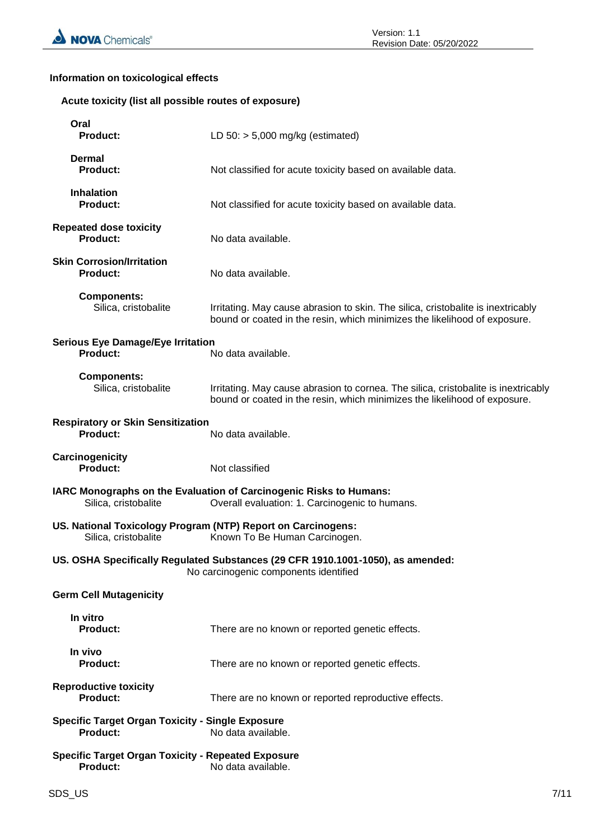## **Information on toxicological effects**

#### **Acute toxicity (list all possible routes of exposure)**

| Oral<br><b>Product:</b>                                                                                                  | LD $50:$ > 5,000 mg/kg (estimated)                                                                                                                              |  |  |
|--------------------------------------------------------------------------------------------------------------------------|-----------------------------------------------------------------------------------------------------------------------------------------------------------------|--|--|
| <b>Dermal</b><br><b>Product:</b>                                                                                         | Not classified for acute toxicity based on available data.                                                                                                      |  |  |
| <b>Inhalation</b><br><b>Product:</b>                                                                                     | Not classified for acute toxicity based on available data.                                                                                                      |  |  |
| <b>Repeated dose toxicity</b><br><b>Product:</b>                                                                         | No data available.                                                                                                                                              |  |  |
| <b>Skin Corrosion/Irritation</b><br><b>Product:</b>                                                                      | No data available.                                                                                                                                              |  |  |
| <b>Components:</b><br>Silica, cristobalite                                                                               | Irritating. May cause abrasion to skin. The silica, cristobalite is inextricably<br>bound or coated in the resin, which minimizes the likelihood of exposure.   |  |  |
| <b>Serious Eye Damage/Eye Irritation</b><br><b>Product:</b>                                                              | No data available.                                                                                                                                              |  |  |
| <b>Components:</b><br>Silica, cristobalite                                                                               | Irritating. May cause abrasion to cornea. The silica, cristobalite is inextricably<br>bound or coated in the resin, which minimizes the likelihood of exposure. |  |  |
| <b>Respiratory or Skin Sensitization</b><br>Product:                                                                     | No data available.                                                                                                                                              |  |  |
| Carcinogenicity<br>Product:                                                                                              | Not classified                                                                                                                                                  |  |  |
| Silica, cristobalite                                                                                                     | IARC Monographs on the Evaluation of Carcinogenic Risks to Humans:<br>Overall evaluation: 1. Carcinogenic to humans.                                            |  |  |
| US. National Toxicology Program (NTP) Report on Carcinogens:<br>Silica, cristobalite<br>Known To Be Human Carcinogen.    |                                                                                                                                                                 |  |  |
| US. OSHA Specifically Regulated Substances (29 CFR 1910.1001-1050), as amended:<br>No carcinogenic components identified |                                                                                                                                                                 |  |  |
| <b>Germ Cell Mutagenicity</b>                                                                                            |                                                                                                                                                                 |  |  |
| In vitro<br><b>Product:</b>                                                                                              | There are no known or reported genetic effects.                                                                                                                 |  |  |
| In vivo<br><b>Product:</b>                                                                                               | There are no known or reported genetic effects.                                                                                                                 |  |  |
| <b>Reproductive toxicity</b><br><b>Product:</b>                                                                          | There are no known or reported reproductive effects.                                                                                                            |  |  |
| <b>Specific Target Organ Toxicity - Single Exposure</b><br>No data available.<br><b>Product:</b>                         |                                                                                                                                                                 |  |  |
| <b>Specific Target Organ Toxicity - Repeated Exposure</b><br><b>Product:</b>                                             | No data available.                                                                                                                                              |  |  |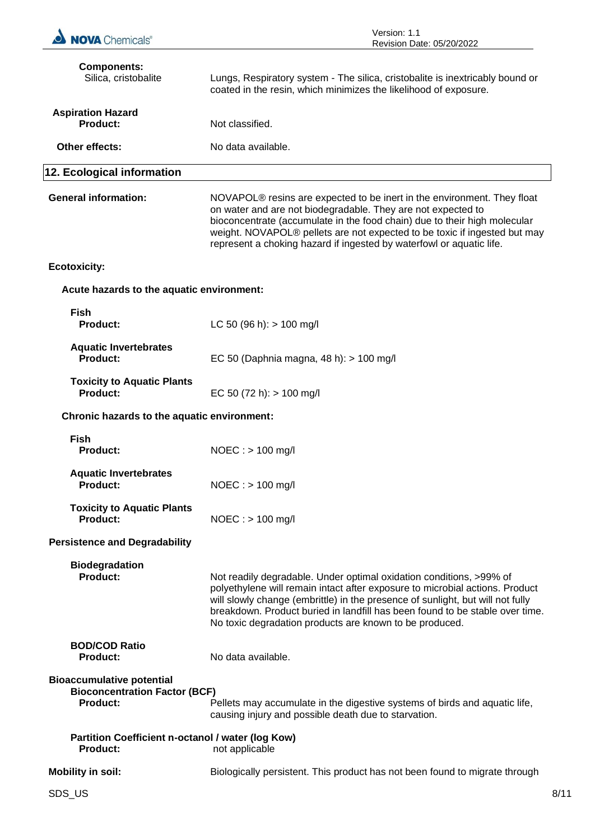| <b>NOVA</b> Chemicals®                                                                      | Version: 1.1<br>Revision Date: 05/20/2022                                                                                                                                                                                                                                                                                                                                        |
|---------------------------------------------------------------------------------------------|----------------------------------------------------------------------------------------------------------------------------------------------------------------------------------------------------------------------------------------------------------------------------------------------------------------------------------------------------------------------------------|
| <b>Components:</b><br>Silica, cristobalite                                                  | Lungs, Respiratory system - The silica, cristobalite is inextricably bound or<br>coated in the resin, which minimizes the likelihood of exposure.                                                                                                                                                                                                                                |
| <b>Aspiration Hazard</b><br><b>Product:</b>                                                 | Not classified.                                                                                                                                                                                                                                                                                                                                                                  |
| Other effects:                                                                              | No data available.                                                                                                                                                                                                                                                                                                                                                               |
| 12. Ecological information                                                                  |                                                                                                                                                                                                                                                                                                                                                                                  |
| <b>General information:</b>                                                                 | NOVAPOL® resins are expected to be inert in the environment. They float<br>on water and are not biodegradable. They are not expected to<br>bioconcentrate (accumulate in the food chain) due to their high molecular<br>weight. NOVAPOL® pellets are not expected to be toxic if ingested but may<br>represent a choking hazard if ingested by waterfowl or aquatic life.        |
| <b>Ecotoxicity:</b>                                                                         |                                                                                                                                                                                                                                                                                                                                                                                  |
| Acute hazards to the aquatic environment:                                                   |                                                                                                                                                                                                                                                                                                                                                                                  |
| <b>Fish</b><br><b>Product:</b>                                                              | LC 50 (96 h): $> 100$ mg/l                                                                                                                                                                                                                                                                                                                                                       |
| <b>Aquatic Invertebrates</b><br><b>Product:</b>                                             | EC 50 (Daphnia magna, 48 h): > 100 mg/l                                                                                                                                                                                                                                                                                                                                          |
| <b>Toxicity to Aquatic Plants</b><br><b>Product:</b>                                        | EC 50 (72 h): $> 100$ mg/l                                                                                                                                                                                                                                                                                                                                                       |
| Chronic hazards to the aquatic environment:                                                 |                                                                                                                                                                                                                                                                                                                                                                                  |
| <b>Fish</b><br><b>Product:</b>                                                              | $NOEC : > 100$ mg/l                                                                                                                                                                                                                                                                                                                                                              |
| <b>Aquatic Invertebrates</b><br><b>Product:</b>                                             | $NOEC : > 100$ mg/l                                                                                                                                                                                                                                                                                                                                                              |
| <b>Toxicity to Aquatic Plants</b><br><b>Product:</b>                                        | $NOEC : > 100$ mg/l                                                                                                                                                                                                                                                                                                                                                              |
| <b>Persistence and Degradability</b>                                                        |                                                                                                                                                                                                                                                                                                                                                                                  |
| <b>Biodegradation</b><br><b>Product:</b>                                                    | Not readily degradable. Under optimal oxidation conditions, >99% of<br>polyethylene will remain intact after exposure to microbial actions. Product<br>will slowly change (embrittle) in the presence of sunlight, but will not fully<br>breakdown. Product buried in landfill has been found to be stable over time.<br>No toxic degradation products are known to be produced. |
| <b>BOD/COD Ratio</b><br><b>Product:</b>                                                     | No data available.                                                                                                                                                                                                                                                                                                                                                               |
| <b>Bioaccumulative potential</b><br><b>Bioconcentration Factor (BCF)</b><br><b>Product:</b> | Pellets may accumulate in the digestive systems of birds and aquatic life,<br>causing injury and possible death due to starvation.                                                                                                                                                                                                                                               |
| Partition Coefficient n-octanol / water (log Kow)<br><b>Product:</b>                        | not applicable                                                                                                                                                                                                                                                                                                                                                                   |
| <b>Mobility in soil:</b>                                                                    | Biologically persistent. This product has not been found to migrate through                                                                                                                                                                                                                                                                                                      |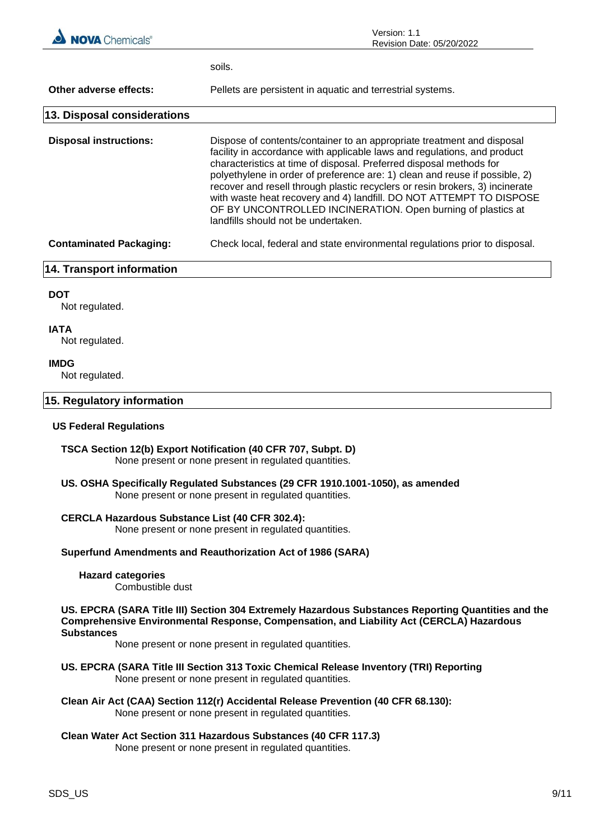

soils.

**Other adverse effects:** Pellets are persistent in aquatic and terrestrial systems. **13. Disposal considerations**

**Disposal instructions:** Dispose of contents/container to an appropriate treatment and disposal facility in accordance with applicable laws and regulations, and product characteristics at time of disposal. Preferred disposal methods for polyethylene in order of preference are: 1) clean and reuse if possible, 2) recover and resell through plastic recyclers or resin brokers, 3) incinerate with waste heat recovery and 4) landfill. DO NOT ATTEMPT TO DISPOSE OF BY UNCONTROLLED INCINERATION. Open burning of plastics at landfills should not be undertaken. **Contaminated Packaging:** Check local, federal and state environmental regulations prior to disposal.

#### **14. Transport information**

#### **DOT**

Not regulated.

#### **IATA**

Not regulated.

#### **IMDG**

Not regulated.

#### **15. Regulatory information**

#### **US Federal Regulations**

- **TSCA Section 12(b) Export Notification (40 CFR 707, Subpt. D)** None present or none present in regulated quantities.
- **US. OSHA Specifically Regulated Substances (29 CFR 1910.1001-1050), as amended** None present or none present in regulated quantities.

#### **CERCLA Hazardous Substance List (40 CFR 302.4):**

None present or none present in regulated quantities.

#### **Superfund Amendments and Reauthorization Act of 1986 (SARA)**

#### **Hazard categories**

Combustible dust

**US. EPCRA (SARA Title III) Section 304 Extremely Hazardous Substances Reporting Quantities and the Comprehensive Environmental Response, Compensation, and Liability Act (CERCLA) Hazardous Substances**

None present or none present in regulated quantities.

- **US. EPCRA (SARA Title III Section 313 Toxic Chemical Release Inventory (TRI) Reporting** None present or none present in regulated quantities.
- **Clean Air Act (CAA) Section 112(r) Accidental Release Prevention (40 CFR 68.130):** None present or none present in regulated quantities.

## **Clean Water Act Section 311 Hazardous Substances (40 CFR 117.3)**

None present or none present in regulated quantities.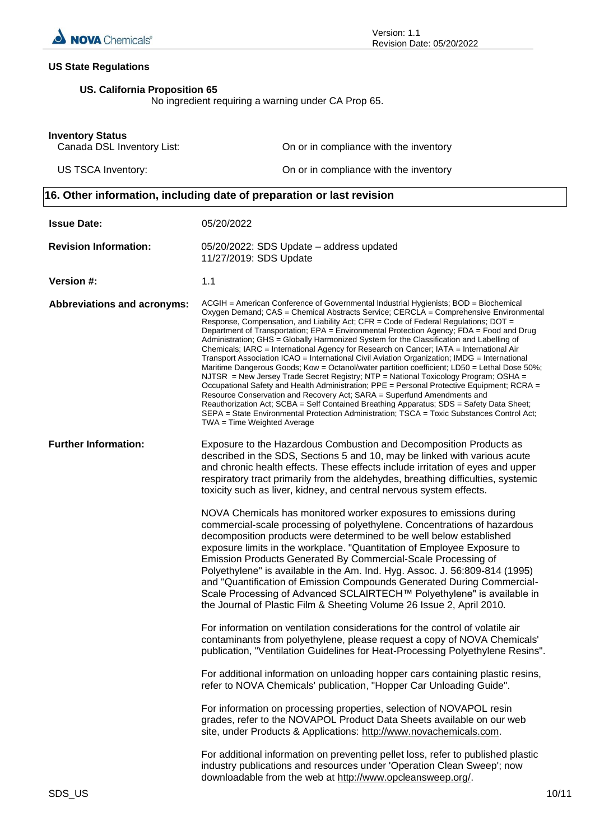

### **US State Regulations**

## **US. California Proposition 65**

No ingredient requiring a warning under CA Prop 65.

#### **Inventory Status**

| Canada DSL Inventory List: | On or in compliance with the inventory |
|----------------------------|----------------------------------------|
| US TSCA Inventory:         | On or in compliance with the inventory |

## **16. Other information, including date of preparation or last revision**

| <b>Issue Date:</b>                 | 05/20/2022                                                                                                                                                                                                                                                                                                                                                                                                                                                                                                                                                                                                                                                                                                                                                                                                                                                                                                                                                                                                                                                                                                                                                                                                                                       |       |
|------------------------------------|--------------------------------------------------------------------------------------------------------------------------------------------------------------------------------------------------------------------------------------------------------------------------------------------------------------------------------------------------------------------------------------------------------------------------------------------------------------------------------------------------------------------------------------------------------------------------------------------------------------------------------------------------------------------------------------------------------------------------------------------------------------------------------------------------------------------------------------------------------------------------------------------------------------------------------------------------------------------------------------------------------------------------------------------------------------------------------------------------------------------------------------------------------------------------------------------------------------------------------------------------|-------|
| <b>Revision Information:</b>       | 05/20/2022: SDS Update - address updated<br>11/27/2019: SDS Update                                                                                                                                                                                                                                                                                                                                                                                                                                                                                                                                                                                                                                                                                                                                                                                                                                                                                                                                                                                                                                                                                                                                                                               |       |
| Version #:                         | 1.1                                                                                                                                                                                                                                                                                                                                                                                                                                                                                                                                                                                                                                                                                                                                                                                                                                                                                                                                                                                                                                                                                                                                                                                                                                              |       |
| <b>Abbreviations and acronyms:</b> | ACGIH = American Conference of Governmental Industrial Hygienists; BOD = Biochemical<br>Oxygen Demand; CAS = Chemical Abstracts Service; CERCLA = Comprehensive Environmental<br>Response, Compensation, and Liability Act; CFR = Code of Federal Regulations; DOT =<br>Department of Transportation; EPA = Environmental Protection Agency; FDA = Food and Drug<br>Administration; GHS = Globally Harmonized System for the Classification and Labelling of<br>Chemicals; IARC = International Agency for Research on Cancer; IATA = International Air<br>Transport Association ICAO = International Civil Aviation Organization; IMDG = International<br>Maritime Dangerous Goods; Kow = Octanol/water partition coefficient; LD50 = Lethal Dose 50%;<br>NJTSR = New Jersey Trade Secret Registry; NTP = National Toxicology Program; OSHA =<br>Occupational Safety and Health Administration; PPE = Personal Protective Equipment; RCRA =<br>Resource Conservation and Recovery Act; SARA = Superfund Amendments and<br>Reauthorization Act; SCBA = Self Contained Breathing Apparatus; SDS = Safety Data Sheet;<br>SEPA = State Environmental Protection Administration; TSCA = Toxic Substances Control Act;<br>TWA = Time Weighted Average |       |
| <b>Further Information:</b>        | Exposure to the Hazardous Combustion and Decomposition Products as<br>described in the SDS, Sections 5 and 10, may be linked with various acute<br>and chronic health effects. These effects include irritation of eyes and upper<br>respiratory tract primarily from the aldehydes, breathing difficulties, systemic<br>toxicity such as liver, kidney, and central nervous system effects.                                                                                                                                                                                                                                                                                                                                                                                                                                                                                                                                                                                                                                                                                                                                                                                                                                                     |       |
|                                    | NOVA Chemicals has monitored worker exposures to emissions during<br>commercial-scale processing of polyethylene. Concentrations of hazardous<br>decomposition products were determined to be well below established<br>exposure limits in the workplace. "Quantitation of Employee Exposure to<br>Emission Products Generated By Commercial-Scale Processing of<br>Polyethylene" is available in the Am. Ind. Hyg. Assoc. J. 56:809-814 (1995)<br>and "Quantification of Emission Compounds Generated During Commercial-<br>Scale Processing of Advanced SCLAIRTECH™ Polyethylene" is available in<br>the Journal of Plastic Film & Sheeting Volume 26 Issue 2, April 2010.                                                                                                                                                                                                                                                                                                                                                                                                                                                                                                                                                                     |       |
|                                    | For information on ventilation considerations for the control of volatile air<br>contaminants from polyethylene, please request a copy of NOVA Chemicals'<br>publication, "Ventilation Guidelines for Heat-Processing Polyethylene Resins".                                                                                                                                                                                                                                                                                                                                                                                                                                                                                                                                                                                                                                                                                                                                                                                                                                                                                                                                                                                                      |       |
|                                    | For additional information on unloading hopper cars containing plastic resins,<br>refer to NOVA Chemicals' publication, "Hopper Car Unloading Guide".                                                                                                                                                                                                                                                                                                                                                                                                                                                                                                                                                                                                                                                                                                                                                                                                                                                                                                                                                                                                                                                                                            |       |
|                                    | For information on processing properties, selection of NOVAPOL resin<br>grades, refer to the NOVAPOL Product Data Sheets available on our web<br>site, under Products & Applications: http://www.novachemicals.com.                                                                                                                                                                                                                                                                                                                                                                                                                                                                                                                                                                                                                                                                                                                                                                                                                                                                                                                                                                                                                              |       |
|                                    | For additional information on preventing pellet loss, refer to published plastic<br>industry publications and resources under 'Operation Clean Sweep'; now<br>downloadable from the web at http://www.opcleansweep.org/.                                                                                                                                                                                                                                                                                                                                                                                                                                                                                                                                                                                                                                                                                                                                                                                                                                                                                                                                                                                                                         |       |
| SDS_US                             |                                                                                                                                                                                                                                                                                                                                                                                                                                                                                                                                                                                                                                                                                                                                                                                                                                                                                                                                                                                                                                                                                                                                                                                                                                                  | 10/11 |